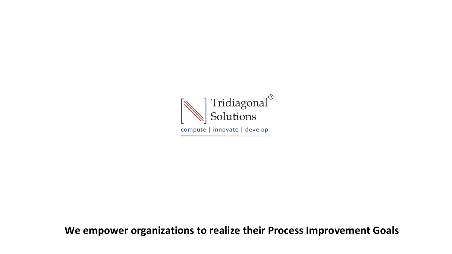

**We empower organizations to realize their Process Improvement Goals**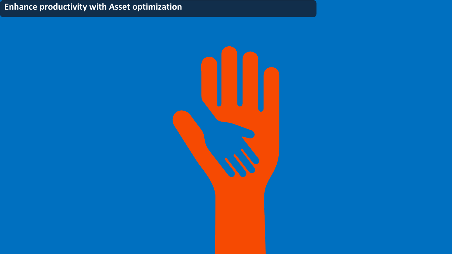## **Enhance productivity with Asset optimization**

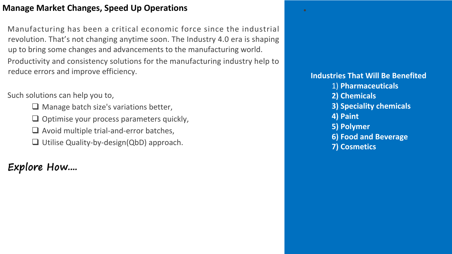### **Manage Market Changes, Speed Up Operations**

Manufacturing has been a critical economic force since the industrial revolution. That's not changing anytime soon. The Industry 4.0 era is shaping up to bring some changes and advancements to the manufacturing world. Productivity and consistency solutions for the manufacturing industry help to reduce errors and improve efficiency.

### Such solutions can help you to,

- $\Box$  Manage batch size's variations better,
- $\Box$  Optimise your process parameters quickly,
- $\Box$  Avoid multiple trial-and-error batches,
- $\Box$  Utilise Quality-by-design(QbD) approach.

# Explore How....

**Industries That Will Be Benefited** 1) **Pharmaceuticals 2) Chemicals 3) Speciality chemicals 4) Paint 5) Polymer 6) Food and Beverage 7) Cosmetics**

• Production of the Control of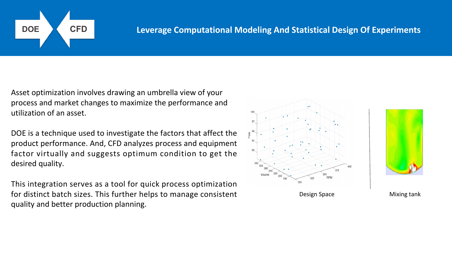

### **DOE CFD Leverage Computational Modeling And Statistical Design Of Experiments**

Asset optimization involves drawing an umbrella view of your process and market changes to maximize the performance and utilization of an asset.

DOE is a technique used to investigate the factors that affect the product performance. And, CFD analyzes process and equipment factor virtually and suggests optimum condition to get the desired quality.

This integration serves as a tool for quick process optimization for distinct batch sizes. This further helps to manage consistent helps to the lost of the section of the sect<br>quality and better production planning.

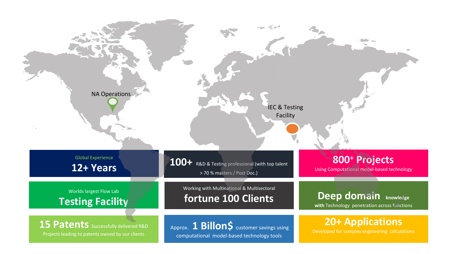